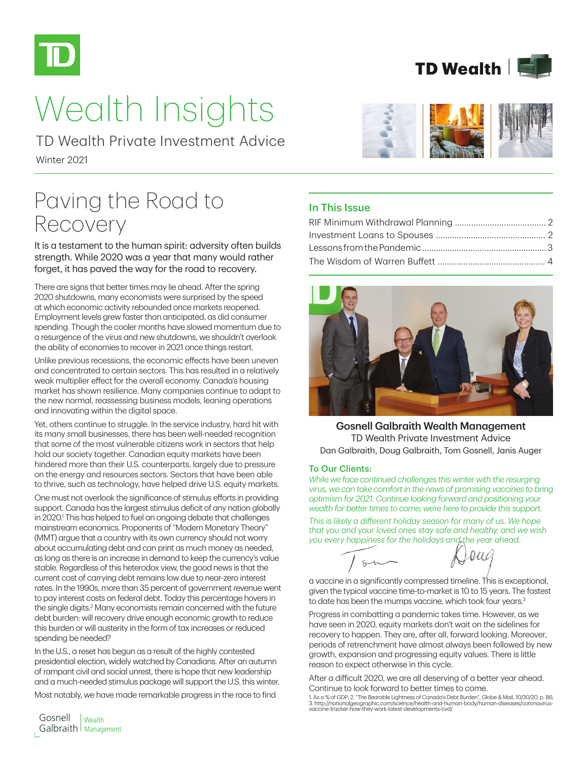

# Wealth Insights

Winter 2021 TD Wealth Private Investment Advice

# Paving the Road to Recovery

It is a testament to the human spirit: adversity often builds strength. While 2020 was a year that many would rather forget, it has paved the way for the road to recovery.

There are signs that better times may lie ahead. After the spring 2020 shutdowns, many economists were surprised by the speed at which economic activity rebounded once markets reopened. Employment levels grew faster than anticipated, as did consumer spending. Though the cooler months have slowed momentum due to a resurgence of the virus and new shutdowns, we shouldn't overlook the ability of economies to recover in 2021 once things restart.

Unlike previous recessions, the economic effects have been uneven and concentrated to certain sectors. This has resulted in a relatively weak multiplier effect for the overall economy. Canada's housing market has shown resilience. Many companies continue to adapt to the new normal, reassessing business models, leaning operations and innovating within the digital space.

Yet, others continue to struggle. In the service industry, hard hit with its many small businesses, there has been well-needed recognition that some of the most vulnerable citizens work in sectors that help hold our society together. Canadian equity markets have been hindered more than their U.S. counterparts, largely due to pressure on the energy and resources sectors. Sectors that have been able to thrive, such as technology, have helped drive U.S. equity markets.

One must not overlook the significance of stimulus efforts in providing support. Canada has the largest stimulus deficit of any nation globally in 2020.<sup>1</sup> This has helped to fuel an ongoing debate that challenges mainstream economics. Proponents of "Modern Monetary Theory" (MMT) argue that a country with its own currency should not worry about accumulating debt and can print as much money as needed, as long as there is an increase in demand to keep the currency's value stable. Regardless of this heterodox view, the good news is that the current cost of carrying debt remains low due to near-zero interest rates. In the 1990s, more than 35 percent of government revenue went to pay interest costs on federal debt. Today this percentage hovers in the single digits.<sup>2</sup> Many economists remain concerned with the future debt burden: will recovery drive enough economic growth to reduce this burden or will austerity in the form of tax increases or reduced spending be needed?

In the U.S., a reset has begun as a result of the highly contested presidential election, widely watched by Canadians. After an autumn of rampant civil and social unrest, there is hope that new leadership and a much-needed stimulus package will support the U.S. this winter.

Most notably, we have made remarkable progress in the race to find



**TD Wealth** 

#### In This Issue



Gosnell Galbraith Wealth Management TD Wealth Private Investment Advice Dan Galbraith, Doug Galbraith, Tom Gosnell, Janis Auger

#### To Our Clients:

 $S$ 

*While we face continued challenges this winter with the resurging virus, we can take comfort in the news of promising vaccines to bring optimism for 2021. Continue looking forward and positioning your wealth for better times to come; we're here to provide this support.* 

*This is likely a different holiday season for many of us. We hope that you and your loved ones stay safe and healthy, and we wish you every happiness for the holidays and the year ahead.*

0a G

a vaccine in a significantly compressed timeline. This is exceptional, given the typical vaccine time-to-market is 10 to 15 years. The fastest to date has been the mumps vaccine, which took four years.<sup>3</sup>

Progress in combatting a pandemic takes time. However, as we have seen in 2020, equity markets don't wait on the sidelines for recovery to happen. They are, after all, forward looking. Moreover, periods of retrenchment have almost always been followed by new growth, expansion and progressing equity values. There is little reason to expect otherwise in this cycle.

After a difficult 2020, we are all deserving of a better year ahead. Continue to look forward to better times to come.

1. As a % of GDP; 2. "The Bearable Lightness of Canada's Debt Burden", Globe & Mail, 10/30/20, p. B6; 3. http://nationalgeographic.com/science/health-and-human-body/human-diseases/coronavirus-vaccine-tracker-how-they-work-latest-developments-cvd/

Wealth Galbraith | Management Gosnell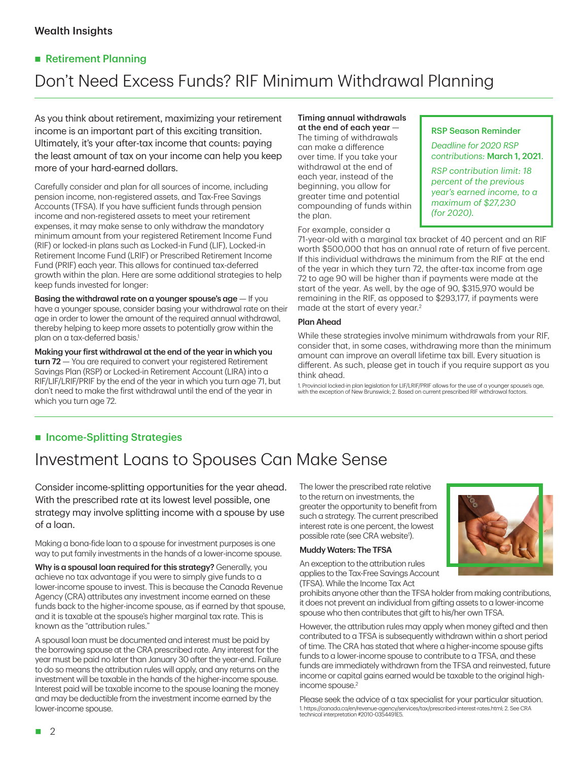#### Wealth Insights

#### Retirement Planning

# Don't Need Excess Funds? RIF Minimum Withdrawal Planning

As you think about retirement, maximizing your retirement income is an important part of this exciting transition. Ultimately, it's your after-tax income that counts: paying the least amount of tax on your income can help you keep more of your hard-earned dollars.

Carefully consider and plan for all sources of income, including pension income, non-registered assets, and Tax-Free Savings Accounts (TFSA). If you have sufficient funds through pension income and non-registered assets to meet your retirement expenses, it may make sense to only withdraw the mandatory minimum amount from your registered Retirement Income Fund (RIF) or locked-in plans such as Locked-in Fund (LIF), Locked-in Retirement Income Fund (LRIF) or Prescribed Retirement Income Fund (PRIF) each year. This allows for continued tax-deferred growth within the plan. Here are some additional strategies to help keep funds invested for longer:

Basing the withdrawal rate on a younger spouse's  $age - If you$ have a younger spouse, consider basing your withdrawal rate on their age in order to lower the amount of the required annual withdrawal, thereby helping to keep more assets to potentially grow within the plan on a tax-deferred basis.<sup>1</sup>

Making your first withdrawal at the end of the year in which you turn 72 – You are required to convert your registered Retirement Savings Plan (RSP) or Locked-in Retirement Account (LIRA) into a RIF/LIF/LRIF/PRIF by the end of the year in which you turn age 71, but don't need to make the first withdrawal until the end of the year in which you turn age 72.

#### Timing annual withdrawals at the end of each year —

The timing of withdrawals can make a difference over time. If you take your withdrawal at the end of each year, instead of the beginning, you allow for greater time and potential compounding of funds within the plan.

For example, consider a

#### RSP Season Reminder

*Deadline for 2020 RSP contributions:* March 1, 2021.

*RSP contribution limit: 18 percent of the previous year's earned income, to a maximum of \$27,230 (for 2020).* 

71-year-old with a marginal tax bracket of 40 percent and an RIF worth \$500,000 that has an annual rate of return of five percent. If this individual withdraws the minimum from the RIF at the end of the year in which they turn 72, the after-tax income from age 72 to age 90 will be higher than if payments were made at the start of the year. As well, by the age of 90, \$315,970 would be remaining in the RIF, as opposed to \$293,177, if payments were made at the start of every year.2

#### Plan Ahead

While these strategies involve minimum withdrawals from your RIF, consider that, in some cases, withdrawing more than the minimum amount can improve an overall lifetime tax bill. Every situation is different. As such, please get in touch if you require support as you think ahead.

1. Provincial locked-in plan legislation for LIF/LRIF/PRIF allows for the use of a younger spouse's age, with the exception of New Brunswick; 2. Based on current prescribed RIF withdrawal factors.

#### **Income-Splitting Strategies**

### Investment Loans to Spouses Can Make Sense

Consider income-splitting opportunities for the year ahead. With the prescribed rate at its lowest level possible, one strategy may involve splitting income with a spouse by use of a loan.

Making a bona-fide loan to a spouse for investment purposes is one way to put family investments in the hands of a lower-income spouse.

Why is a spousal loan required for this strategy? Generally, you achieve no tax advantage if you were to simply give funds to a lower-income spouse to invest. This is because the Canada Revenue Agency (CRA) attributes any investment income earned on these funds back to the higher-income spouse, as if earned by that spouse, and it is taxable at the spouse's higher marginal tax rate. This is known as the "attribution rules."

A spousal loan must be documented and interest must be paid by the borrowing spouse at the CRA prescribed rate. Any interest for the year must be paid no later than January 30 after the year-end. Failure to do so means the attribution rules will apply, and any returns on the investment will be taxable in the hands of the higher-income spouse. Interest paid will be taxable income to the spouse loaning the money and may be deductible from the investment income earned by the lower-income spouse.

The lower the prescribed rate relative to the return on investments, the greater the opportunity to benefit from such a strategy. The current prescribed interest rate is one percent, the lowest possible rate (see CRA website<sup>1</sup>).

#### Muddy Waters: The TFSA

An exception to the attribution rules applies to the Tax-Free Savings Account (TFSA). While the Income Tax Act

prohibits anyone other than the TFSA holder from making contributions, it does not prevent an individual from gifting assets to a lower-income spouse who then contributes that gift to his/her own TFSA.

However, the attribution rules may apply when money gifted and then contributed to a TFSA is subsequently withdrawn within a short period of time. The CRA has stated that where a higher-income spouse gifts funds to a lower-income spouse to contribute to a TFSA, and these funds are immediately withdrawn from the TFSA and reinvested, future income or capital gains earned would be taxable to the original highincome spouse.<sup>2</sup>

Please seek the advice of a tax specialist for your particular situation. 1. https://canada.ca/en/revenue-agency/services/tax/prescribed-interest-rates.html; 2. See CRA technical interpretation #2010-0354491E5.



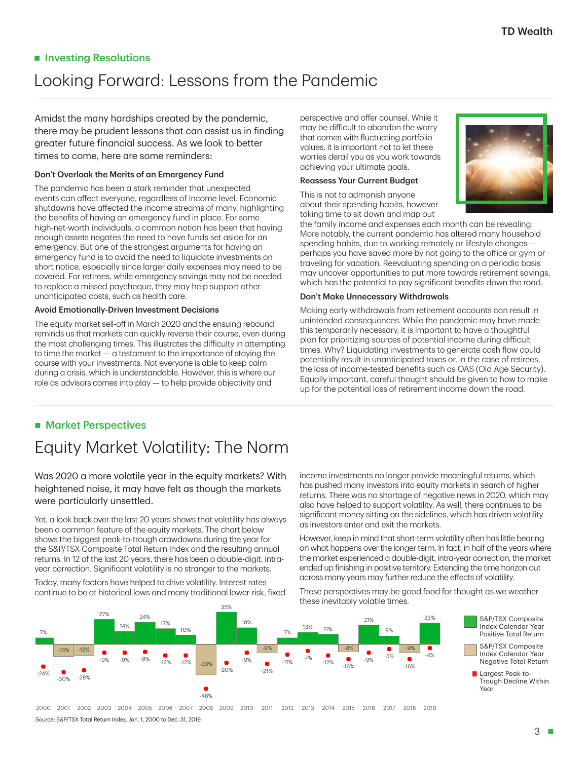#### **Investing Resolutions**

## Looking Forward: Lessons from the Pandemic

Amidst the many hardships created by the pandemic, there may be prudent lessons that can assist us in finding greater future financial success. As we look to better times to come, here are some reminders:

#### Don't Overlook the Merits of an Emergency Fund

The pandemic has been a stark reminder that unexpected events can affect everyone, regardless of income level. Economic shutdowns have affected the income streams of many, highlighting the benefits of having an emergency fund in place. For some high-net-worth individuals, a common notion has been that having enough assets negates the need to have funds set aside for an emergency. But one of the strongest arguments for having an emergency fund is to avoid the need to liquidate investments on short notice, especially since larger daily expenses may need to be covered. For retirees, while emergency savings may not be needed to replace a missed paycheque, they may help support other unanticipated costs, such as health care.

#### Avoid Emotionally-Driven Investment Decisions

The equity market sell-off in March 2020 and the ensuing rebound reminds us that markets can quickly reverse their course, even during the most challenging times. This illustrates the difficulty in attempting to time the market — a testament to the importance of staying the course with your investments. Not everyone is able to keep calm during a crisis, which is understandable. However, this is where our role as advisors comes into play — to help provide objectivity and

perspective and offer counsel. While it may be difficult to abandon the worry that comes with fluctuating portfolio values, it is important not to let these worries derail you as you work towards achieving your ultimate goals.

#### Reassess Your Current Budget

This is not to admonish anyone about their spending habits, however taking time to sit down and map out



the family income and expenses each month can be revealing. More notably, the current pandemic has altered many household spending habits, due to working remotely or lifestyle changes perhaps you have saved more by not going to the office or gym or traveling for vacation. Reevaluating spending on a periodic basis may uncover opportunities to put more towards retirement savings, which has the potential to pay significant benefits down the road.

#### Don't Make Unnecessary Withdrawals

Making early withdrawals from retirement accounts can result in unintended consequences. While the pandemic may have made this temporarily necessary, it is important to have a thoughtful plan for prioritizing sources of potential income during difficult times. Why? Liquidating investments to generate cash flow could potentially result in unanticipated taxes or, in the case of retirees, the loss of income-tested benefits such as OAS (Old Age Security). Equally important, careful thought should be given to how to make up for the potential loss of retirement income down the road.

#### **Market Perspectives**

# Equity Market Volatility: The Norm

#### Was 2020 a more volatile year in the equity markets? With heightened noise, it may have felt as though the markets were particularly unsettled.

Yet, a look back over the last 20 years shows that volatility has always been a common feature of the equity markets. The chart below shows the biggest peak-to-trough drawdowns during the year for the S&P/TSX Composite Total Return Index and the resulting annual returns. In 12 of the last 20 years, there has been a double-digit, intrayear correction. Significant volatility is no stranger to the markets.

Today, many factors have helped to drive volatility. Interest rates continue to be at historical lows and many traditional lower-risk, fixed

income investments no longer provide meaningful returns, which has pushed many investors into equity markets in search of higher returns. There was no shortage of negative news in 2020, which may also have helped to support volatility. As well, there continues to be significant money sitting on the sidelines, which has driven volatility as investors enter and exit the markets.

However, keep in mind that short-term volatility often has little bearing on what happens over the longer term. In fact, in half of the years where the market experienced a double-digit, intra-year correction, the market ended up finishing in positive territory. Extending the time horizon out across many years may further reduce the effects of volatility.

These perspectives may be good food for thought as we weather these inevitably volatile times.



S&P/TSX Composite Index Calendar Year Positive Total Return

- S&P/TSX Composite Index Calendar Year Negative Total Return
- **Largest Peak-to-**Trough Decline Within Year